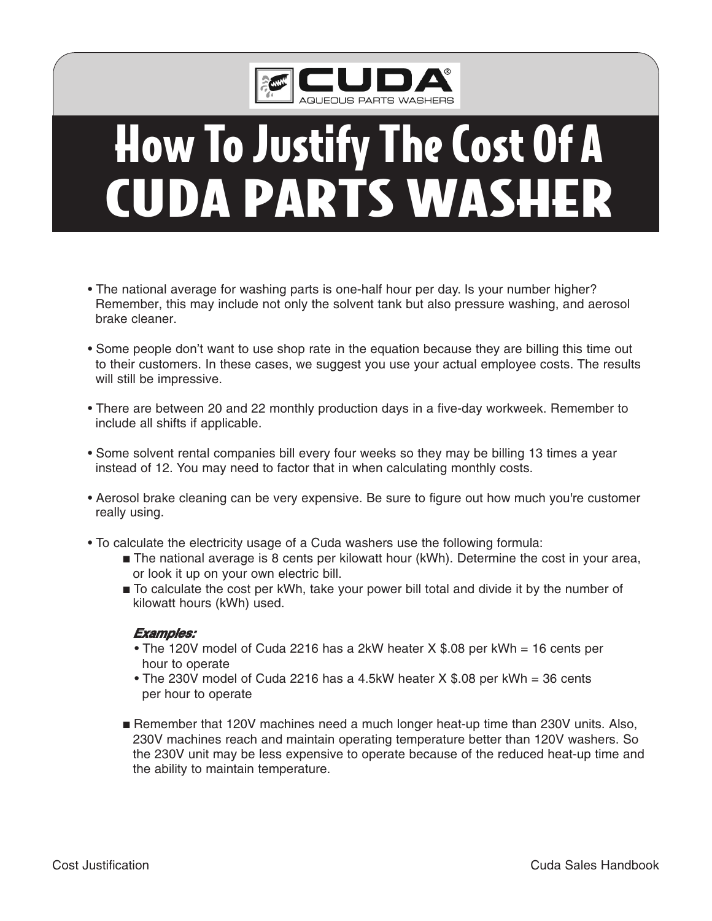

# **How To Justify The Cost Of A CUDA PARTS WASHER**

- The national average for washing parts is one-half hour per day. Is your number higher? Remember, this may include not only the solvent tank but also pressure washing, and aerosol brake cleaner.
- Some people don't want to use shop rate in the equation because they are billing this time out to their customers. In these cases, we suggest you use your actual employee costs. The results will still be impressive.
- There are between 20 and 22 monthly production days in a five-day workweek. Remember to include all shifts if applicable.
- Some solvent rental companies bill every four weeks so they may be billing 13 times a year instead of 12. You may need to factor that in when calculating monthly costs.
- Aerosol brake cleaning can be very expensive. Be sure to figure out how much you're customer really using.
- To calculate the electricity usage of a Cuda washers use the following formula:
	- The national average is 8 cents per kilowatt hour (kWh). Determine the cost in your area, or look it up on your own electric bill.
	- **■** To calculate the cost per kWh, take your power bill total and divide it by the number of kilowatt hours (kWh) used.

#### **Examples:**

- The 120V model of Cuda 2216 has a 2kW heater X \$.08 per kWh = 16 cents per hour to operate
- The 230V model of Cuda 2216 has a 4.5kW heater X \$.08 per kWh = 36 cents per hour to operate
- **■** Remember that 120V machines need a much longer heat-up time than 230V units. Also, 230V machines reach and maintain operating temperature better than 120V washers. So the 230V unit may be less expensive to operate because of the reduced heat-up time and the ability to maintain temperature.